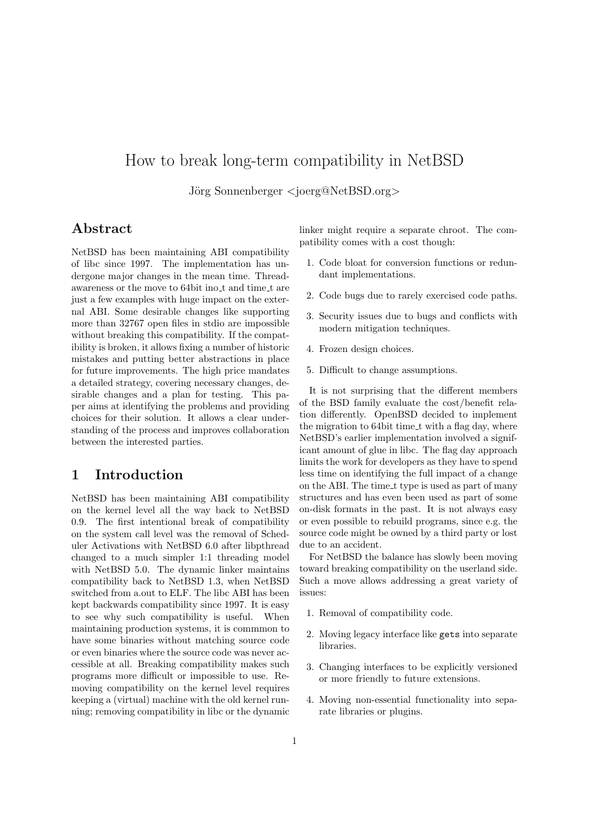# How to break long-term compatibility in NetBSD

J¨org Sonnenberger *<*joerg@NetBSD.org*>*

## **Abstract**

NetBSD has been maintaining ABI compatibility of libc since 1997. The implementation has undergone major changes in the mean time. Threadawareness or the move to 64bit ino t and time t are just a few examples with huge impact on the external ABI. Some desirable changes like supporting more than 32767 open files in stdio are impossible without breaking this compatibility. If the compatibility is broken, it allows fixing a number of historic mistakes and putting better abstractions in place for future improvements. The high price mandates a detailed strategy, covering necessary changes, desirable changes and a plan for testing. This paper aims at identifying the problems and providing choices for their solution. It allows a clear understanding of the process and improves collaboration between the interested parties.

## **1 Introduction**

NetBSD has been maintaining ABI compatibility on the kernel level all the way back to NetBSD 0.9. The first intentional break of compatibility on the system call level was the removal of Scheduler Activations with NetBSD 6.0 after libpthread changed to a much simpler 1:1 threading model with NetBSD 5.0. The dynamic linker maintains compatibility back to NetBSD 1.3, when NetBSD switched from a.out to ELF. The libc ABI has been kept backwards compatibility since 1997. It is easy to see why such compatibility is useful. When maintaining production systems, it is commmon to have some binaries without matching source code or even binaries where the source code was never accessible at all. Breaking compatibility makes such programs more difficult or impossible to use. Removing compatibility on the kernel level requires keeping a (virtual) machine with the old kernel running; removing compatibility in libc or the dynamic linker might require a separate chroot. The compatibility comes with a cost though:

- 1. Code bloat for conversion functions or redundant implementations.
- 2. Code bugs due to rarely exercised code paths.
- 3. Security issues due to bugs and conflicts with modern mitigation techniques.
- 4. Frozen design choices.
- 5. Difficult to change assumptions.

It is not surprising that the different members of the BSD family evaluate the cost/benefit relation differently. OpenBSD decided to implement the migration to 64bit time\_t with a flag day, where NetBSD's earlier implementation involved a significant amount of glue in libc. The flag day approach limits the work for developers as they have to spend less time on identifying the full impact of a change on the ABI. The time t type is used as part of many structures and has even been used as part of some on-disk formats in the past. It is not always easy or even possible to rebuild programs, since e.g. the source code might be owned by a third party or lost due to an accident.

For NetBSD the balance has slowly been moving toward breaking compatibility on the userland side. Such a move allows addressing a great variety of issues:

- 1. Removal of compatibility code.
- 2. Moving legacy interface like gets into separate libraries.
- 3. Changing interfaces to be explicitly versioned or more friendly to future extensions.
- 4. Moving non-essential functionality into separate libraries or plugins.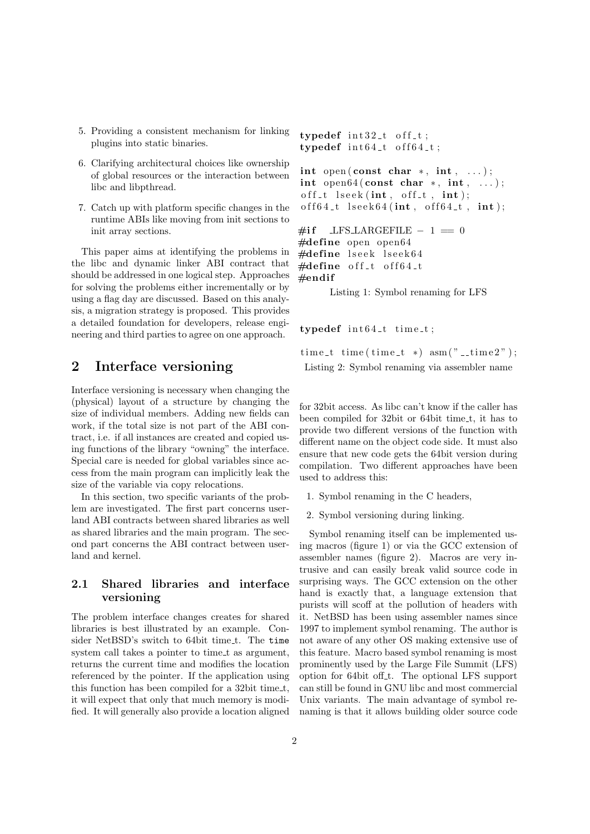- 5. Providing a consistent mechanism for linking plugins into static binaries.
- 6. Clarifying architectural choices like ownership of global resources or the interaction between libc and libpthread.
- 7. Catch up with platform specific changes in the runtime ABIs like moving from init sections to init array sections.

This paper aims at identifying the problems in the libc and dynamic linker ABI contract that should be addressed in one logical step. Approaches for solving the problems either incrementally or by using a flag day are discussed. Based on this analysis, a migration strategy is proposed. This provides a detailed foundation for developers, release engineering and third parties to agree on one approach.

## **2 Interface versioning**

Interface versioning is necessary when changing the (physical) layout of a structure by changing the size of individual members. Adding new fields can work, if the total size is not part of the ABI contract, i.e. if all instances are created and copied using functions of the library "owning" the interface. Special care is needed for global variables since access from the main program can implicitly leak the size of the variable via copy relocations.

In this section, two specific variants of the problem are investigated. The first part concerns userland ABI contracts between shared libraries as well as shared libraries and the main program. The second part concerns the ABI contract between userland and kernel.

### **2.1 Shared libraries and interface versioning**

The problem interface changes creates for shared libraries is best illustrated by an example. Consider NetBSD's switch to 64bit time\_t. The time system call takes a pointer to time t as argument, returns the current time and modifies the location referenced by the pointer. If the application using this function has been compiled for a 32bit time t, it will expect that only that much memory is modified. It will generally also provide a location aligned

```
trypedef int32_t of f_t;trypedef int64_t of 64_t;\int int open ( const char *, \int int, ... );
int open64 ( const char ∗ , int , . . . ) ;
off_t lseek (int, off_t, int);
off 64_t lseek64(int, off 64_t, int);#i f LFS LARGEFILE − 1 == 0
#define open open64
#define lseek lseek64
#define off<sub>-t off64<sub>-t</sub></sub>
#end if
```
Listing 1: Symbol renaming for LFS

#### $trypedef$   $int64_t time_t;$

 $time_t$  time ( time\_t  $*$  )  $asm("$  \_ time 2" ); Listing 2: Symbol renaming via assembler name

for 32bit access. As libc can't know if the caller has been compiled for 32bit or 64bit time<sub>t</sub>, it has to provide two different versions of the function with different name on the object code side. It must also ensure that new code gets the 64bit version during compilation. Two different approaches have been used to address this:

- 1. Symbol renaming in the C headers,
- 2. Symbol versioning during linking.

Symbol renaming itself can be implemented using macros (figure 1) or via the GCC extension of assembler names (figure 2). Macros are very intrusive and can easily break valid source code in surprising ways. The GCC extension on the other hand is exactly that, a language extension that purists will scoff at the pollution of headers with it. NetBSD has been using assembler names since 1997 to implement symbol renaming. The author is not aware of any other OS making extensive use of this feature. Macro based symbol renaming is most prominently used by the Large File Summit (LFS) option for 64bit off\_t. The optional LFS support can still be found in GNU libc and most commercial Unix variants. The main advantage of symbol renaming is that it allows building older source code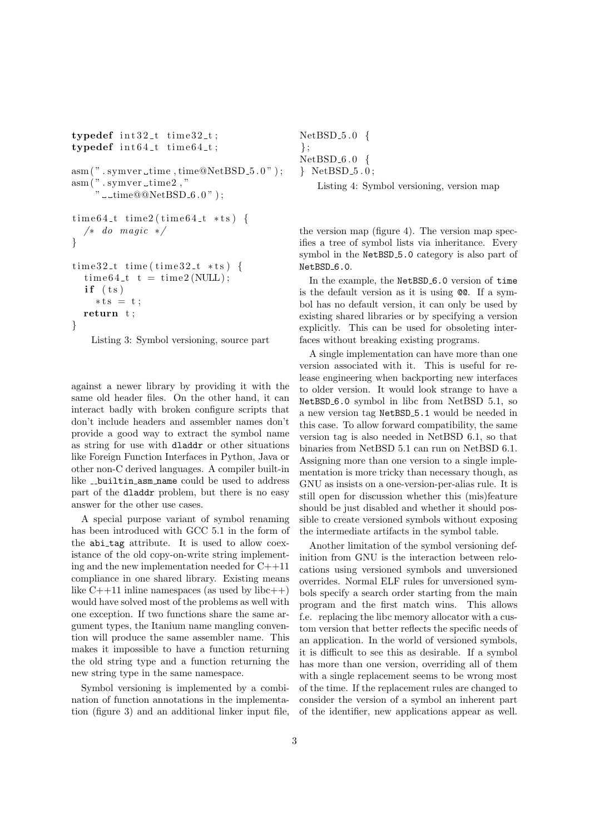```
\tt typedef \; int32_t \t time32_t;trypedef int64_t time64_t;
asm(" . symmetry. time @NetBSD.5.0");asm<br/>( " . symver_time<br/>2 , "" u_time@@NetBSD_6.0" );time64<sub>-</sub>t time2(time64<sub>-</sub>t *ts) {
   /∗ do magic ∗/
}
tim e 3 2 t time ( tim e 3 2 t ∗ t s ) {
  time 64_t t = time2(NULL);if (ts)∗ t s = t ;
  return t ;
}
```
Listing 3: Symbol versioning, source part

against a newer library by providing it with the same old header files. On the other hand, it can interact badly with broken configure scripts that don't include headers and assembler names don't provide a good way to extract the symbol name as string for use with dladdr or other situations like Foreign Function Interfaces in Python, Java or other non-C derived languages. A compiler built-in like \_\_builtin\_asm\_name could be used to address part of the dladdr problem, but there is no easy answer for the other use cases.

A special purpose variant of symbol renaming has been introduced with GCC 5.1 in the form of the abi\_tag attribute. It is used to allow coexistance of the old copy-on-write string implementing and the new implementation needed for C++11 compliance in one shared library. Existing means like  $C++11$  inline namespaces (as used by libc $++$ ) would have solved most of the problems as well with one exception. If two functions share the same argument types, the Itanium name mangling convention will produce the same assembler name. This makes it impossible to have a function returning the old string type and a function returning the new string type in the same namespace.

Symbol versioning is implemented by a combination of function annotations in the implementation (figure 3) and an additional linker input file,

```
NetBSD 5 . 0 {
} ;
NetBSD 6 . 0 {
} NetBSD 5 . 0 ;
   Listing 4: Symbol versioning, version map
```
the version map (figure 4). The version map specifies a tree of symbol lists via inheritance. Every symbol in the NetBSD 5.0 category is also part of NetBSD<sub>-6.0</sub>.

In the example, the NetBSD<sub>-6</sub>.0 version of time is the default version as it is using @@. If a symbol has no default version, it can only be used by existing shared libraries or by specifying a version explicitly. This can be used for obsoleting interfaces without breaking existing programs.

A single implementation can have more than one version associated with it. This is useful for release engineering when backporting new interfaces to older version. It would look strange to have a NetBSD 6.0 symbol in libc from NetBSD 5.1, so a new version tag NetBSD 5.1 would be needed in this case. To allow forward compatibility, the same version tag is also needed in NetBSD 6.1, so that binaries from NetBSD 5.1 can run on NetBSD 6.1. Assigning more than one version to a single implementation is more tricky than necessary though, as GNU as insists on a one-version-per-alias rule. It is still open for discussion whether this (mis)feature should be just disabled and whether it should possible to create versioned symbols without exposing the intermediate artifacts in the symbol table.

Another limitation of the symbol versioning definition from GNU is the interaction between relocations using versioned symbols and unversioned overrides. Normal ELF rules for unversioned symbols specify a search order starting from the main program and the first match wins. This allows f.e. replacing the libc memory allocator with a custom version that better reflects the specific needs of an application. In the world of versioned symbols, it is difficult to see this as desirable. If a symbol has more than one version, overriding all of them with a single replacement seems to be wrong most of the time. If the replacement rules are changed to consider the version of a symbol an inherent part of the identifier, new applications appear as well.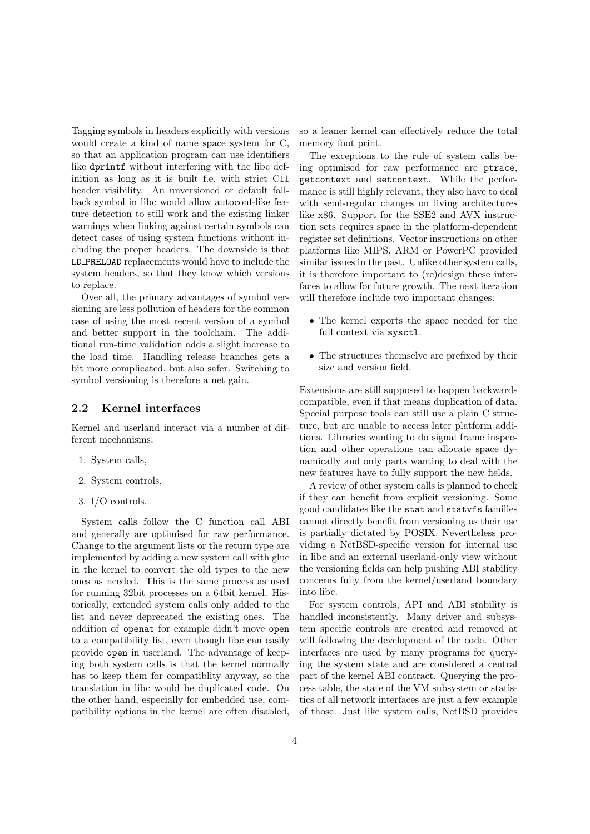Tagging symbols in headers explicitly with versions would create a kind of name space system for C, so that an application program can use identifiers like dprintf without interfering with the libc definition as long as it is built f.e. with strict C11 header visibility. An unversioned or default fallback symbol in libc would allow autoconf-like feature detection to still work and the existing linker warnings when linking against certain symbols can detect cases of using system functions without including the proper headers. The downside is that LD PRELOAD replacements would have to include the system headers, so that they know which versions to replace.

Over all, the primary advantages of symbol versioning are less pollution of headers for the common case of using the most recent version of a symbol and better support in the toolchain. The additional run-time validation adds a slight increase to the load time. Handling release branches gets a bit more complicated, but also safer. Switching to symbol versioning is therefore a net gain.

#### **2.2 Kernel interfaces**

Kernel and userland interact via a number of different mechanisms:

- 1. System calls,
- 2. System controls,
- 3. I/O controls.

System calls follow the C function call ABI and generally are optimised for raw performance. Change to the argument lists or the return type are implemented by adding a new system call with glue in the kernel to convert the old types to the new ones as needed. This is the same process as used for running 32bit processes on a 64bit kernel. Historically, extended system calls only added to the list and never deprecated the existing ones. The addition of openat for example didn't move open to a compatibility list, even though libc can easily provide open in userland. The advantage of keeping both system calls is that the kernel normally has to keep them for compatiblity anyway, so the translation in libc would be duplicated code. On the other hand, especially for embedded use, compatibility options in the kernel are often disabled, so a leaner kernel can effectively reduce the total memory foot print.

The exceptions to the rule of system calls being optimised for raw performance are ptrace, getcontext and setcontext. While the performance is still highly relevant, they also have to deal with semi-regular changes on living architectures like x86. Support for the SSE2 and AVX instruction sets requires space in the platform-dependent register set definitions. Vector instructions on other platforms like MIPS, ARM or PowerPC provided similar issues in the past. Unlike other system calls, it is therefore important to (re)design these interfaces to allow for future growth. The next iteration will therefore include two important changes:

- *•* The kernel exports the space needed for the full context via sysctl.
- The structures themselve are prefixed by their size and version field.

Extensions are still supposed to happen backwards compatible, even if that means duplication of data. Special purpose tools can still use a plain C structure, but are unable to access later platform additions. Libraries wanting to do signal frame inspection and other operations can allocate space dynamically and only parts wanting to deal with the new features have to fully support the new fields.

A review of other system calls is planned to check if they can benefit from explicit versioning. Some good candidates like the stat and statvfs families cannot directly benefit from versioning as their use is partially dictated by POSIX. Nevertheless providing a NetBSD-specific version for internal use in libc and an external userland-only view without the versioning fields can help pushing ABI stability concerns fully from the kernel/userland boundary into libc.

For system controls, API and ABI stability is handled inconsistently. Many driver and subsystem specific controls are created and removed at will following the development of the code. Other interfaces are used by many programs for querying the system state and are considered a central part of the kernel ABI contract. Querying the process table, the state of the VM subsystem or statistics of all network interfaces are just a few example of those. Just like system calls, NetBSD provides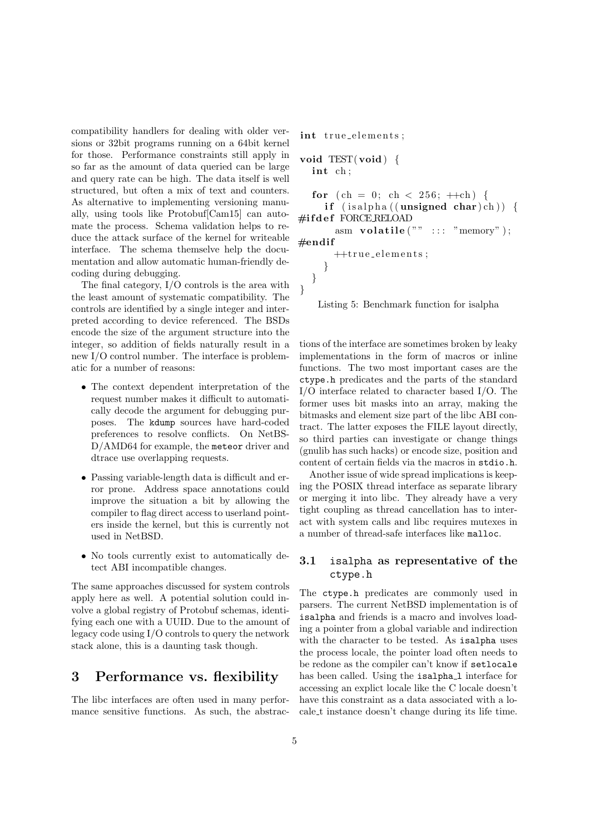compatibility handlers for dealing with older versions or 32bit programs running on a 64bit kernel for those. Performance constraints still apply in so far as the amount of data queried can be large and query rate can be high. The data itself is well structured, but often a mix of text and counters. As alternative to implementing versioning manually, using tools like Protobuf[Cam15] can automate the process. Schema validation helps to reduce the attack surface of the kernel for writeable interface. The schema themselve help the documentation and allow automatic human-friendly decoding during debugging.

The final category, I/O controls is the area with the least amount of systematic compatibility. The controls are identified by a single integer and interpreted according to device referenced. The BSDs encode the size of the argument structure into the integer, so addition of fields naturally result in a new I/O control number. The interface is problematic for a number of reasons:

- *•* The context dependent interpretation of the request number makes it difficult to automatically decode the argument for debugging purposes. The kdump sources have hard-coded preferences to resolve conflicts. On NetBS-D/AMD64 for example, the meteor driver and dtrace use overlapping requests.
- *•* Passing variable-length data is difficult and error prone. Address space annotations could improve the situation a bit by allowing the compiler to flag direct access to userland pointers inside the kernel, but this is currently not used in NetBSD.
- No tools currently exist to automatically detect ABI incompatible changes.

The same approaches discussed for system controls apply here as well. A potential solution could involve a global registry of Protobuf schemas, identifying each one with a UUID. Due to the amount of legacy code using I/O controls to query the network stack alone, this is a daunting task though.

### **3 Performance vs. flexibility**

The libc interfaces are often used in many performance sensitive functions. As such, the abstrac-

```
int true_elements;
void TEST( void ) {
  int ch ;
  for ( ch = 0; ch < 256; +ch ) {
     if (is alpha ((unsigned char) ch)) {
#i f d e f FORCE RELOAD
       asm volatile ("" ::: "memory");
#endif
       ++true_elements;
    }
  }
}
```
Listing 5: Benchmark function for isalpha

tions of the interface are sometimes broken by leaky implementations in the form of macros or inline functions. The two most important cases are the ctype.h predicates and the parts of the standard I/O interface related to character based I/O. The former uses bit masks into an array, making the bitmasks and element size part of the libc ABI contract. The latter exposes the FILE layout directly, so third parties can investigate or change things (gnulib has such hacks) or encode size, position and content of certain fields via the macros in stdio.h.

Another issue of wide spread implications is keeping the POSIX thread interface as separate library or merging it into libc. They already have a very tight coupling as thread cancellation has to interact with system calls and libc requires mutexes in a number of thread-safe interfaces like malloc.

### **3.1** isalpha **as representative of the** ctype.h

The ctype.h predicates are commonly used in parsers. The current NetBSD implementation is of isalpha and friends is a macro and involves loading a pointer from a global variable and indirection with the character to be tested. As isalpha uses the process locale, the pointer load often needs to be redone as the compiler can't know if setlocale has been called. Using the isalpha<sub>1</sub> interface for accessing an explict locale like the C locale doesn't have this constraint as a data associated with a locale t instance doesn't change during its life time.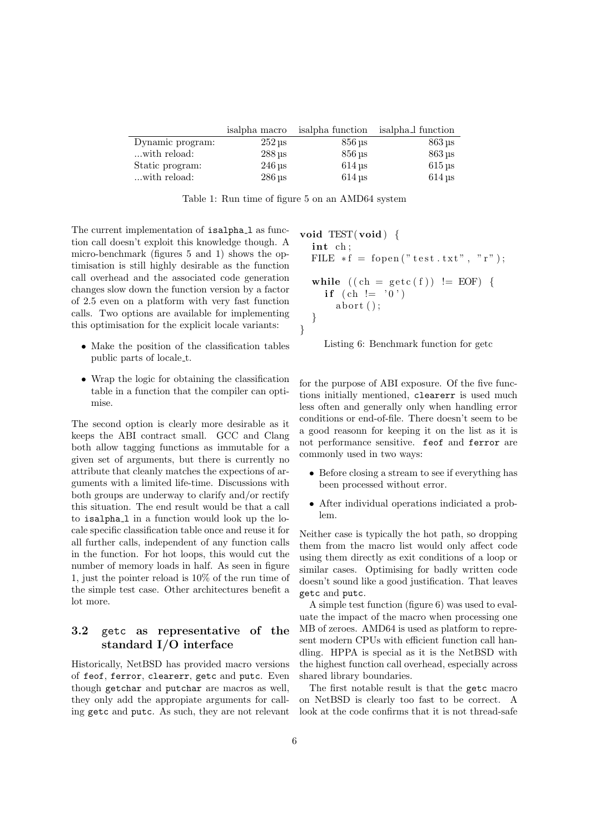|                  | isalpha macro          | isalpha function    | isalpha <sub>l</sub> function |
|------------------|------------------------|---------------------|-------------------------------|
| Dynamic program: | $252 \,\mathrm{us}$    | $856 \,\mathrm{us}$ | $863 \,\mathrm{µs}$           |
| with reload:     | $288 \text{ us}$       | $856 \,\mathrm{us}$ | $863 \,\mathrm{\mu s}$        |
| Static program:  | $246 \,\mathrm{us}$    | $614 \text{ us}$    | $615 \,\mathrm{us}$           |
| with reload:     | $286 \,\mathrm{\mu s}$ | $614$ us            | $614 \text{ }\mathrm{us}$     |

Table 1: Run time of figure 5 on an AMD64 system

The current implementation of isalpha<sub>1</sub> as function call doesn't exploit this knowledge though. A micro-benchmark (figures 5 and 1) shows the optimisation is still highly desirable as the function call overhead and the associated code generation changes slow down the function version by a factor of 2.5 even on a platform with very fast function calls. Two options are available for implementing this optimisation for the explicit locale variants:

- *•* Make the position of the classification tables public parts of locale t.
- Wrap the logic for obtaining the classification table in a function that the compiler can optimise.

The second option is clearly more desirable as it keeps the ABI contract small. GCC and Clang both allow tagging functions as immutable for a given set of arguments, but there is currently no attribute that cleanly matches the expections of arguments with a limited life-time. Discussions with both groups are underway to clarify and/or rectify this situation. The end result would be that a call to isalpha<sub>1</sub> in a function would look up the locale specific classification table once and reuse it for all further calls, independent of any function calls in the function. For hot loops, this would cut the number of memory loads in half. As seen in figure 1, just the pointer reload is 10% of the run time of the simple test case. Other architectures benefit a lot more.

### **3.2** getc **as representative of the standard I/O interface**

Historically, NetBSD has provided macro versions of feof, ferror, clearerr, getc and putc. Even though getchar and putchar are macros as well, they only add the appropiate arguments for calling getc and putc. As such, they are not relevant

**void** TEST( **void** ) *{* **int** ch ; FILE *∗* f = f open ( " t e s t . t x t " , " r " ) ; **while** ( ( ch = g e t c ( f ) ) != EOF) *{* **i f** ( ch != ' 0 ' ) ab o r t ( ) ; *} }*



for the purpose of ABI exposure. Of the five functions initially mentioned, clearerr is used much less often and generally only when handling error conditions or end-of-file. There doesn't seem to be a good reasonn for keeping it on the list as it is not performance sensitive. feof and ferror are commonly used in two ways:

- *•* Before closing a stream to see if everything has been processed without error.
- *•* After individual operations indiciated a problem.

Neither case is typically the hot path, so dropping them from the macro list would only affect code using them directly as exit conditions of a loop or similar cases. Optimising for badly written code doesn't sound like a good justification. That leaves getc and putc.

A simple test function (figure 6) was used to evaluate the impact of the macro when processing one MB of zeroes. AMD64 is used as platform to represent modern CPUs with efficient function call handling. HPPA is special as it is the NetBSD with the highest function call overhead, especially across shared library boundaries.

The first notable result is that the getc macro on NetBSD is clearly too fast to be correct. A look at the code confirms that it is not thread-safe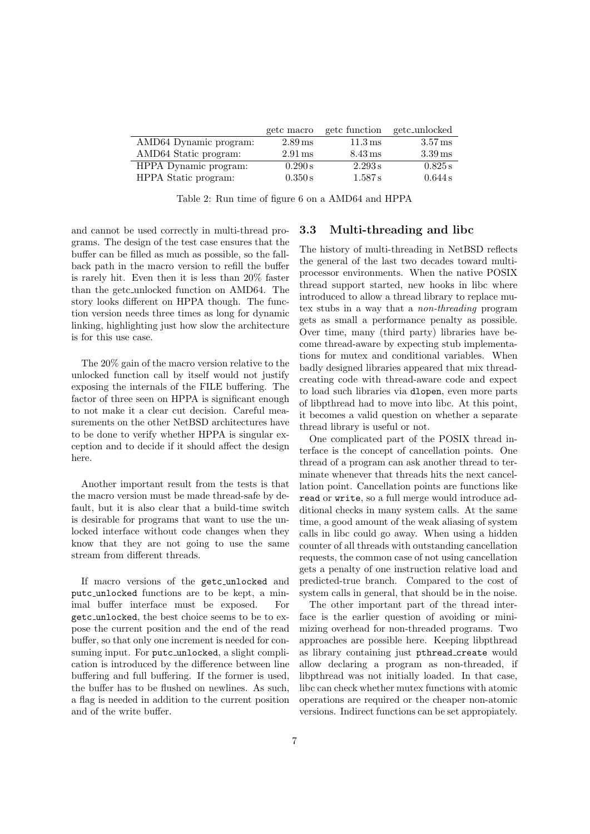|                        | getc macro           | getc function        | getc_unlocked        |
|------------------------|----------------------|----------------------|----------------------|
| AMD64 Dynamic program: | $2.89$ ms            | $11.3 \,\mathrm{ms}$ | $3.57 \,\mathrm{ms}$ |
| AMD64 Static program:  | $2.91 \,\mathrm{ms}$ | $8.43 \,\mathrm{ms}$ | $3.39 \,\mathrm{ms}$ |
| HPPA Dynamic program:  | 0.290 s              | 2.293 s              | 0.825 s              |
| HPPA Static program:   | 0.350 s              | 1.587 s              | 0.644 s              |

Table 2: Run time of figure 6 on a AMD64 and HPPA

and cannot be used correctly in multi-thread programs. The design of the test case ensures that the buffer can be filled as much as possible, so the fallback path in the macro version to refill the buffer is rarely hit. Even then it is less than 20% faster than the getc unlocked function on AMD64. The story looks different on HPPA though. The function version needs three times as long for dynamic linking, highlighting just how slow the architecture is for this use case.

The 20% gain of the macro version relative to the unlocked function call by itself would not justify exposing the internals of the FILE buffering. The factor of three seen on HPPA is significant enough to not make it a clear cut decision. Careful measurements on the other NetBSD architectures have to be done to verify whether HPPA is singular exception and to decide if it should affect the design here.

Another important result from the tests is that the macro version must be made thread-safe by default, but it is also clear that a build-time switch is desirable for programs that want to use the unlocked interface without code changes when they know that they are not going to use the same stream from different threads.

If macro versions of the getc unlocked and putc unlocked functions are to be kept, a minimal buffer interface must be exposed. For getc unlocked, the best choice seems to be to expose the current position and the end of the read buffer, so that only one increment is needed for consuming input. For putc\_unlocked, a slight complication is introduced by the difference between line buffering and full buffering. If the former is used, the buffer has to be flushed on newlines. As such, a flag is needed in addition to the current position and of the write buffer.

#### **3.3 Multi-threading and libc**

The history of multi-threading in NetBSD reflects the general of the last two decades toward multiprocessor environments. When the native POSIX thread support started, new hooks in libc where introduced to allow a thread library to replace mutex stubs in a way that a *non-threading* program gets as small a performance penalty as possible. Over time, many (third party) libraries have become thread-aware by expecting stub implementations for mutex and conditional variables. When badly designed libraries appeared that mix threadcreating code with thread-aware code and expect to load such libraries via dlopen, even more parts of libpthread had to move into libc. At this point, it becomes a valid question on whether a separate thread library is useful or not.

One complicated part of the POSIX thread interface is the concept of cancellation points. One thread of a program can ask another thread to terminate whenever that threads hits the next cancellation point. Cancellation points are functions like read or write, so a full merge would introduce additional checks in many system calls. At the same time, a good amount of the weak aliasing of system calls in libc could go away. When using a hidden counter of all threads with outstanding cancellation requests, the common case of not using cancellation gets a penalty of one instruction relative load and predicted-true branch. Compared to the cost of system calls in general, that should be in the noise.

The other important part of the thread interface is the earlier question of avoiding or minimizing overhead for non-threaded programs. Two approaches are possible here. Keeping libpthread as library containing just pthread create would allow declaring a program as non-threaded, if libpthread was not initially loaded. In that case, libc can check whether mutex functions with atomic operations are required or the cheaper non-atomic versions. Indirect functions can be set appropiately.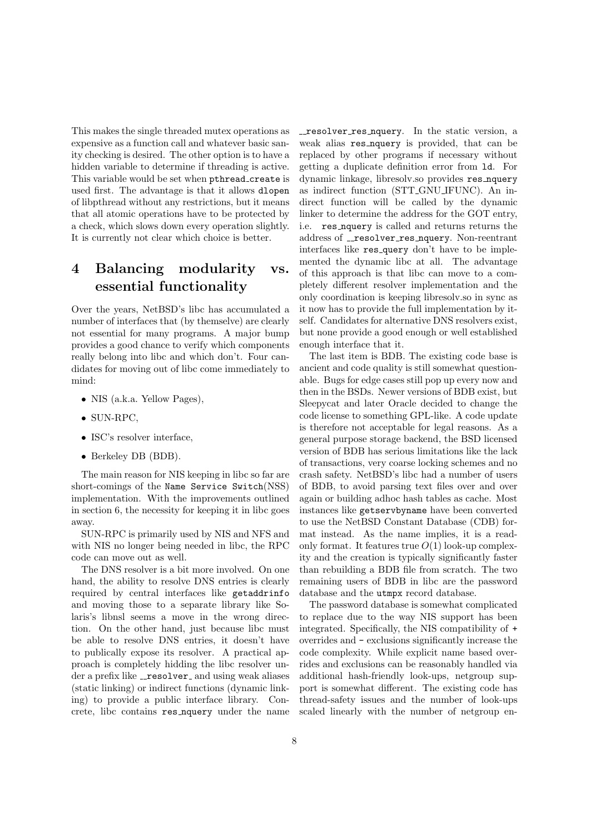This makes the single threaded mutex operations as expensive as a function call and whatever basic sanity checking is desired. The other option is to have a hidden variable to determine if threading is active. This variable would be set when pthread create is used first. The advantage is that it allows dlopen of libpthread without any restrictions, but it means that all atomic operations have to be protected by a check, which slows down every operation slightly. It is currently not clear which choice is better.

# **4 Balancing modularity vs. essential functionality**

Over the years, NetBSD's libc has accumulated a number of interfaces that (by themselve) are clearly not essential for many programs. A major bump provides a good chance to verify which components really belong into libc and which don't. Four candidates for moving out of libc come immediately to mind:

- NIS (a.k.a. Yellow Pages),
- *•* SUN-RPC,
- *•* ISC's resolver interface,
- *•* Berkeley DB (BDB).

The main reason for NIS keeping in libc so far are short-comings of the Name Service Switch(NSS) implementation. With the improvements outlined in section 6, the necessity for keeping it in libc goes away.

SUN-RPC is primarily used by NIS and NFS and with NIS no longer being needed in libc, the RPC code can move out as well.

The DNS resolver is a bit more involved. On one hand, the ability to resolve DNS entries is clearly required by central interfaces like getaddrinfo and moving those to a separate library like Solaris's libnsl seems a move in the wrong direction. On the other hand, just because libc must be able to resolve DNS entries, it doesn't have to publically expose its resolver. A practical approach is completely hidding the libc resolver under a prefix like \_resolver\_ and using weak aliases (static linking) or indirect functions (dynamic linking) to provide a public interface library. Concrete, libc contains res nquery under the name \_resolver\_res\_nquery. In the static version, a weak alias res nquery is provided, that can be replaced by other programs if necessary without getting a duplicate definition error from ld. For dynamic linkage, libresolv.so provides res nquery as indirect function (STT GNU IFUNC). An indirect function will be called by the dynamic linker to determine the address for the GOT entry, i.e. res nquery is called and returns returns the address of \_resolver\_res\_nquery. Non-reentrant interfaces like res query don't have to be implemented the dynamic libc at all. The advantage of this approach is that libc can move to a completely different resolver implementation and the only coordination is keeping libresolv.so in sync as it now has to provide the full implementation by itself. Candidates for alternative DNS resolvers exist, but none provide a good enough or well established enough interface that it.

The last item is BDB. The existing code base is ancient and code quality is still somewhat questionable. Bugs for edge cases still pop up every now and then in the BSDs. Newer versions of BDB exist, but Sleepycat and later Oracle decided to change the code license to something GPL-like. A code update is therefore not acceptable for legal reasons. As a general purpose storage backend, the BSD licensed version of BDB has serious limitations like the lack of transactions, very coarse locking schemes and no crash safety. NetBSD's libc had a number of users of BDB, to avoid parsing text files over and over again or building adhoc hash tables as cache. Most instances like getservbyname have been converted to use the NetBSD Constant Database (CDB) format instead. As the name implies, it is a readonly format. It features true *O*(1) look-up complexity and the creation is typically significantly faster than rebuilding a BDB file from scratch. The two remaining users of BDB in libc are the password database and the utmpx record database.

The password database is somewhat complicated to replace due to the way NIS support has been integrated. Specifically, the NIS compatibility of + overrides and - exclusions significantly increase the code complexity. While explicit name based overrides and exclusions can be reasonably handled via additional hash-friendly look-ups, netgroup support is somewhat different. The existing code has thread-safety issues and the number of look-ups scaled linearly with the number of netgroup en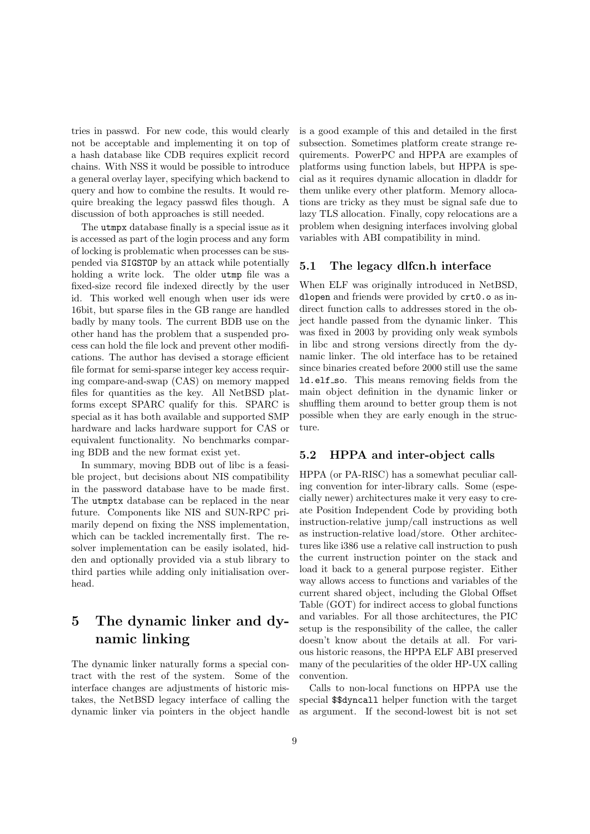tries in passwd. For new code, this would clearly not be acceptable and implementing it on top of a hash database like CDB requires explicit record chains. With NSS it would be possible to introduce a general overlay layer, specifying which backend to query and how to combine the results. It would require breaking the legacy passwd files though. A discussion of both approaches is still needed.

The utmpx database finally is a special issue as it is accessed as part of the login process and any form of locking is problematic when processes can be suspended via SIGSTOP by an attack while potentially holding a write lock. The older utmp file was a fixed-size record file indexed directly by the user id. This worked well enough when user ids were 16bit, but sparse files in the GB range are handled badly by many tools. The current BDB use on the other hand has the problem that a suspended process can hold the file lock and prevent other modifications. The author has devised a storage efficient file format for semi-sparse integer key access requiring compare-and-swap (CAS) on memory mapped files for quantities as the key. All NetBSD platforms except SPARC qualify for this. SPARC is special as it has both available and supported SMP hardware and lacks hardware support for CAS or equivalent functionality. No benchmarks comparing BDB and the new format exist yet.

In summary, moving BDB out of libc is a feasible project, but decisions about NIS compatibility in the password database have to be made first. The utmptx database can be replaced in the near future. Components like NIS and SUN-RPC primarily depend on fixing the NSS implementation, which can be tackled incrementally first. The resolver implementation can be easily isolated, hidden and optionally provided via a stub library to third parties while adding only initialisation overhead.

# **5 The dynamic linker and dynamic linking**

The dynamic linker naturally forms a special contract with the rest of the system. Some of the interface changes are adjustments of historic mistakes, the NetBSD legacy interface of calling the dynamic linker via pointers in the object handle is a good example of this and detailed in the first subsection. Sometimes platform create strange requirements. PowerPC and HPPA are examples of platforms using function labels, but HPPA is special as it requires dynamic allocation in dladdr for them unlike every other platform. Memory allocations are tricky as they must be signal safe due to lazy TLS allocation. Finally, copy relocations are a problem when designing interfaces involving global variables with ABI compatibility in mind.

#### **5.1 The legacy dlfcn.h interface**

When ELF was originally introduced in NetBSD, dlopen and friends were provided by crt0.o as indirect function calls to addresses stored in the object handle passed from the dynamic linker. This was fixed in 2003 by providing only weak symbols in libc and strong versions directly from the dynamic linker. The old interface has to be retained since binaries created before 2000 still use the same ld.elf so. This means removing fields from the main object definition in the dynamic linker or shuffling them around to better group them is not possible when they are early enough in the structure.

#### **5.2 HPPA and inter-object calls**

HPPA (or PA-RISC) has a somewhat peculiar calling convention for inter-library calls. Some (especially newer) architectures make it very easy to create Position Independent Code by providing both instruction-relative jump/call instructions as well as instruction-relative load/store. Other architectures like i386 use a relative call instruction to push the current instruction pointer on the stack and load it back to a general purpose register. Either way allows access to functions and variables of the current shared object, including the Global Offset Table (GOT) for indirect access to global functions and variables. For all those architectures, the PIC setup is the responsibility of the callee, the caller doesn't know about the details at all. For various historic reasons, the HPPA ELF ABI preserved many of the pecularities of the older HP-UX calling convention.

Calls to non-local functions on HPPA use the special \$\$dyncall helper function with the target as argument. If the second-lowest bit is not set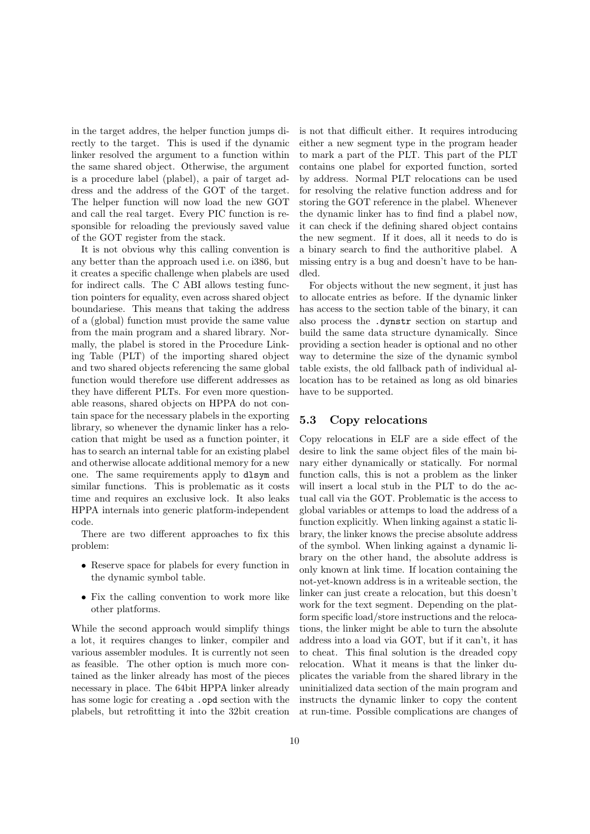in the target addres, the helper function jumps directly to the target. This is used if the dynamic linker resolved the argument to a function within the same shared object. Otherwise, the argument is a procedure label (plabel), a pair of target address and the address of the GOT of the target. The helper function will now load the new GOT and call the real target. Every PIC function is responsible for reloading the previously saved value of the GOT register from the stack.

It is not obvious why this calling convention is any better than the approach used i.e. on i386, but it creates a specific challenge when plabels are used for indirect calls. The C ABI allows testing function pointers for equality, even across shared object boundariese. This means that taking the address of a (global) function must provide the same value from the main program and a shared library. Normally, the plabel is stored in the Procedure Linking Table (PLT) of the importing shared object and two shared objects referencing the same global function would therefore use different addresses as they have different PLTs. For even more questionable reasons, shared objects on HPPA do not contain space for the necessary plabels in the exporting library, so whenever the dynamic linker has a relocation that might be used as a function pointer, it has to search an internal table for an existing plabel and otherwise allocate additional memory for a new one. The same requirements apply to dlsym and similar functions. This is problematic as it costs time and requires an exclusive lock. It also leaks HPPA internals into generic platform-independent code.

There are two different approaches to fix this problem:

- Reserve space for plabels for every function in the dynamic symbol table.
- *•* Fix the calling convention to work more like other platforms.

While the second approach would simplify things a lot, it requires changes to linker, compiler and various assembler modules. It is currently not seen as feasible. The other option is much more contained as the linker already has most of the pieces necessary in place. The 64bit HPPA linker already has some logic for creating a .opd section with the plabels, but retrofitting it into the 32bit creation

is not that difficult either. It requires introducing either a new segment type in the program header to mark a part of the PLT. This part of the PLT contains one plabel for exported function, sorted by address. Normal PLT relocations can be used for resolving the relative function address and for storing the GOT reference in the plabel. Whenever the dynamic linker has to find find a plabel now, it can check if the defining shared object contains the new segment. If it does, all it needs to do is a binary search to find the authoritive plabel. A missing entry is a bug and doesn't have to be handled.

For objects without the new segment, it just has to allocate entries as before. If the dynamic linker has access to the section table of the binary, it can also process the .dynstr section on startup and build the same data structure dynamically. Since providing a section header is optional and no other way to determine the size of the dynamic symbol table exists, the old fallback path of individual allocation has to be retained as long as old binaries have to be supported.

#### **5.3 Copy relocations**

Copy relocations in ELF are a side effect of the desire to link the same object files of the main binary either dynamically or statically. For normal function calls, this is not a problem as the linker will insert a local stub in the PLT to do the actual call via the GOT. Problematic is the access to global variables or attemps to load the address of a function explicitly. When linking against a static library, the linker knows the precise absolute address of the symbol. When linking against a dynamic library on the other hand, the absolute address is only known at link time. If location containing the not-yet-known address is in a writeable section, the linker can just create a relocation, but this doesn't work for the text segment. Depending on the platform specific load/store instructions and the relocations, the linker might be able to turn the absolute address into a load via GOT, but if it can't, it has to cheat. This final solution is the dreaded copy relocation. What it means is that the linker duplicates the variable from the shared library in the uninitialized data section of the main program and instructs the dynamic linker to copy the content at run-time. Possible complications are changes of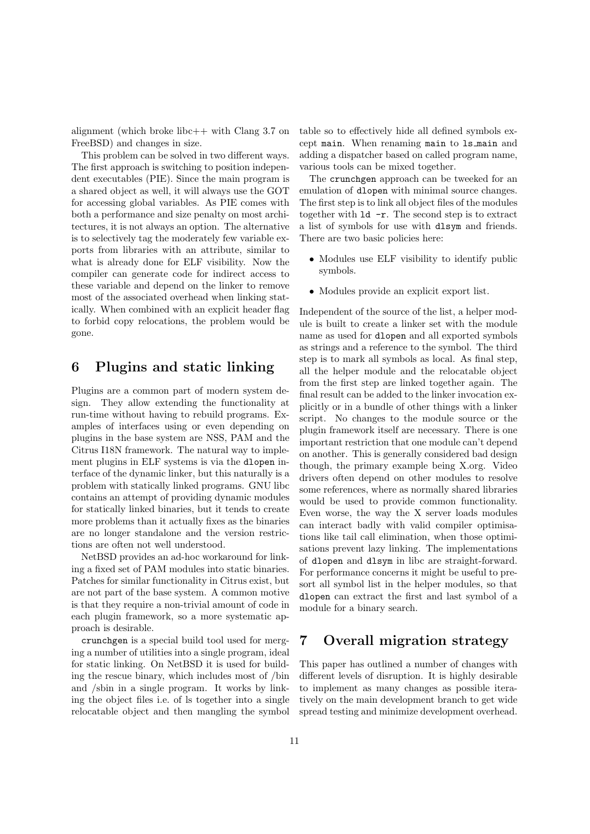alignment (which broke libc++ with Clang 3.7 on FreeBSD) and changes in size.

This problem can be solved in two different ways. The first approach is switching to position independent executables (PIE). Since the main program is a shared object as well, it will always use the GOT for accessing global variables. As PIE comes with both a performance and size penalty on most architectures, it is not always an option. The alternative is to selectively tag the moderately few variable exports from libraries with an attribute, similar to what is already done for ELF visibility. Now the compiler can generate code for indirect access to these variable and depend on the linker to remove most of the associated overhead when linking statically. When combined with an explicit header flag to forbid copy relocations, the problem would be gone.

## **6 Plugins and static linking**

Plugins are a common part of modern system design. They allow extending the functionality at run-time without having to rebuild programs. Examples of interfaces using or even depending on plugins in the base system are NSS, PAM and the Citrus I18N framework. The natural way to implement plugins in ELF systems is via the dlopen interface of the dynamic linker, but this naturally is a problem with statically linked programs. GNU libc contains an attempt of providing dynamic modules for statically linked binaries, but it tends to create more problems than it actually fixes as the binaries are no longer standalone and the version restrictions are often not well understood.

NetBSD provides an ad-hoc workaround for linking a fixed set of PAM modules into static binaries. Patches for similar functionality in Citrus exist, but are not part of the base system. A common motive is that they require a non-trivial amount of code in each plugin framework, so a more systematic approach is desirable.

crunchgen is a special build tool used for merging a number of utilities into a single program, ideal for static linking. On NetBSD it is used for building the rescue binary, which includes most of /bin and /sbin in a single program. It works by linking the object files i.e. of ls together into a single relocatable object and then mangling the symbol table so to effectively hide all defined symbols except main. When renaming main to ls main and adding a dispatcher based on called program name, various tools can be mixed together.

The crunchgen approach can be tweeked for an emulation of dlopen with minimal source changes. The first step is to link all object files of the modules together with ld -r. The second step is to extract a list of symbols for use with dlsym and friends. There are two basic policies here:

- Modules use ELF visibility to identify public symbols.
- Modules provide an explicit export list.

Independent of the source of the list, a helper module is built to create a linker set with the module name as used for dlopen and all exported symbols as strings and a reference to the symbol. The third step is to mark all symbols as local. As final step, all the helper module and the relocatable object from the first step are linked together again. The final result can be added to the linker invocation explicitly or in a bundle of other things with a linker script. No changes to the module source or the plugin framework itself are necessary. There is one important restriction that one module can't depend on another. This is generally considered bad design though, the primary example being X.org. Video drivers often depend on other modules to resolve some references, where as normally shared libraries would be used to provide common functionality. Even worse, the way the X server loads modules can interact badly with valid compiler optimisations like tail call elimination, when those optimisations prevent lazy linking. The implementations of dlopen and dlsym in libc are straight-forward. For performance concerns it might be useful to presort all symbol list in the helper modules, so that dlopen can extract the first and last symbol of a module for a binary search.

## **7 Overall migration strategy**

This paper has outlined a number of changes with different levels of disruption. It is highly desirable to implement as many changes as possible iteratively on the main development branch to get wide spread testing and minimize development overhead.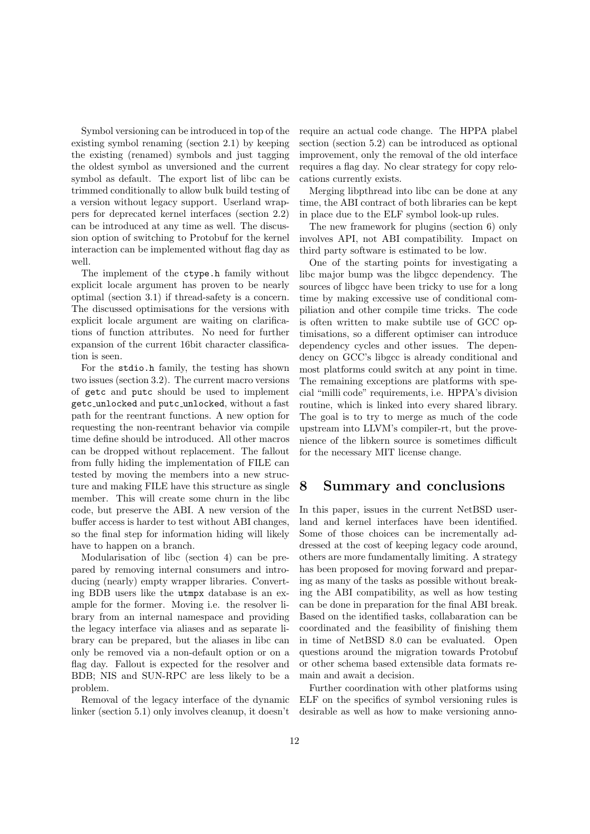Symbol versioning can be introduced in top of the existing symbol renaming (section 2.1) by keeping the existing (renamed) symbols and just tagging the oldest symbol as unversioned and the current symbol as default. The export list of libc can be trimmed conditionally to allow bulk build testing of a version without legacy support. Userland wrappers for deprecated kernel interfaces (section 2.2) can be introduced at any time as well. The discussion option of switching to Protobuf for the kernel interaction can be implemented without flag day as well.

The implement of the ctype.h family without explicit locale argument has proven to be nearly optimal (section 3.1) if thread-safety is a concern. The discussed optimisations for the versions with explicit locale argument are waiting on clarifications of function attributes. No need for further expansion of the current 16bit character classification is seen.

For the stdio.h family, the testing has shown two issues (section 3.2). The current macro versions of getc and putc should be used to implement getc unlocked and putc unlocked, without a fast path for the reentrant functions. A new option for requesting the non-reentrant behavior via compile time define should be introduced. All other macros can be dropped without replacement. The fallout from fully hiding the implementation of FILE can tested by moving the members into a new structure and making FILE have this structure as single member. This will create some churn in the libc code, but preserve the ABI. A new version of the buffer access is harder to test without ABI changes, so the final step for information hiding will likely have to happen on a branch.

Modularisation of libc (section 4) can be prepared by removing internal consumers and introducing (nearly) empty wrapper libraries. Converting BDB users like the utmpx database is an example for the former. Moving i.e. the resolver library from an internal namespace and providing the legacy interface via aliases and as separate library can be prepared, but the aliases in libc can only be removed via a non-default option or on a flag day. Fallout is expected for the resolver and BDB; NIS and SUN-RPC are less likely to be a problem.

Removal of the legacy interface of the dynamic linker (section 5.1) only involves cleanup, it doesn't require an actual code change. The HPPA plabel section (section 5.2) can be introduced as optional improvement, only the removal of the old interface requires a flag day. No clear strategy for copy relocations currently exists.

Merging libpthread into libc can be done at any time, the ABI contract of both libraries can be kept in place due to the ELF symbol look-up rules.

The new framework for plugins (section 6) only involves API, not ABI compatibility. Impact on third party software is estimated to be low.

One of the starting points for investigating a libc major bump was the libgcc dependency. The sources of libgcc have been tricky to use for a long time by making excessive use of conditional compiliation and other compile time tricks. The code is often written to make subtile use of GCC optimisations, so a different optimiser can introduce dependency cycles and other issues. The dependency on GCC's libgcc is already conditional and most platforms could switch at any point in time. The remaining exceptions are platforms with special "milli code" requirements, i.e. HPPA's division routine, which is linked into every shared library. The goal is to try to merge as much of the code upstream into LLVM's compiler-rt, but the provenience of the libkern source is sometimes difficult for the necessary MIT license change.

### **8 Summary and conclusions**

In this paper, issues in the current NetBSD userland and kernel interfaces have been identified. Some of those choices can be incrementally addressed at the cost of keeping legacy code around, others are more fundamentally limiting. A strategy has been proposed for moving forward and preparing as many of the tasks as possible without breaking the ABI compatibility, as well as how testing can be done in preparation for the final ABI break. Based on the identified tasks, collabaration can be coordinated and the feasibility of finishing them in time of NetBSD 8.0 can be evaluated. Open questions around the migration towards Protobuf or other schema based extensible data formats remain and await a decision.

Further coordination with other platforms using ELF on the specifics of symbol versioning rules is desirable as well as how to make versioning anno